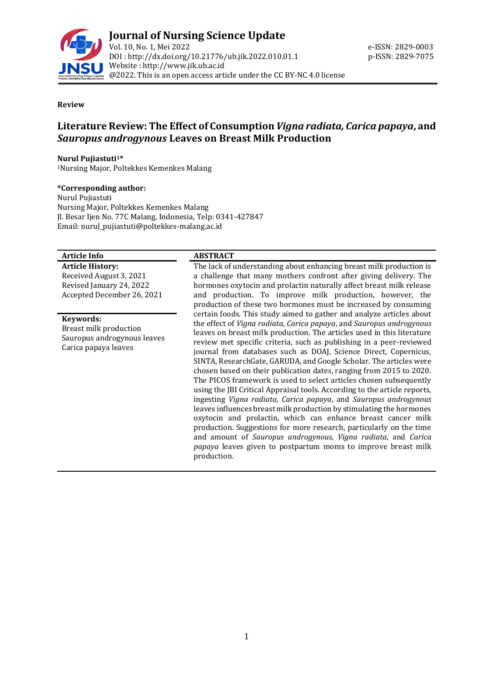

#### **Review**

## **Literature Review: The Effect of Consumption** *Vigna radiata, Carica papaya***, and**  *Sauropus androgynous* **Leaves on Breast Milk Production**

#### **Nurul Pujiastuti1\***

<sup>1</sup>Nursing Major, Poltekkes Kemenkes Malang

#### **\*Corresponding author:**

Nurul Pujiastuti Nursing Major, Poltekkes Kemenkes Malang Jl. Besar Ijen No. 77C Malang, Indonesia, Telp: 0341-427847 Email: nurul\_pujiastuti@poltekkes-malang.ac.id

#### **Article Info ABSTRACT**

**Article History:** Received August 3, 2021 Revised January 24, 2022 Accepted December 26, 2021

#### **Keywords:**

Breast milk production Sauropus androgynous leaves Carica papaya leaves

The lack of understanding about enhancing breast milk production is a challenge that many mothers confront after giving delivery. The hormones oxytocin and prolactin naturally affect breast milk release and production. To improve milk production, however, the production of these two hormones must be increased by consuming certain foods. This study aimed to gather and analyze articles about the effect of *Vigna radiata, Carica papaya*, and *Sauropus androgynous* leaves on breast milk production. The articles used in this literature review met specific criteria, such as publishing in a peer-reviewed journal from databases such as DOAJ, Science Direct, Copernicus, SINTA, ResearchGate, GARUDA, and Google Scholar. The articles were chosen based on their publication dates, ranging from 2015 to 2020. The PICOS framework is used to select articles chosen subsequently using the JBI Critical Appraisal tools. According to the article reports, ingesting *Vigna radiata, Carica papaya*, and *Sauropus androgynous* leaves influences breast milk production by stimulating the hormones oxytocin and prolactin, which can enhance breast cancer milk production. Suggestions for more research, particularly on the time and amount of *Sauropus androgynous, Vigna radiata*, and *Carica papaya* leaves given to postpartum moms to improve breast milk production.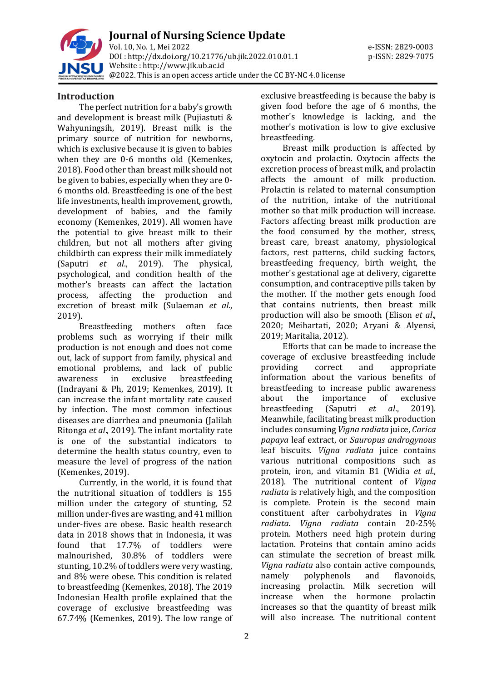

**Journal of Nursing Science Update** Vol. 10, No. 1, Mei 2022 e-ISSN: 2829-0003 DOI : [http://dx.doi.org/10.21776/ub.jik.2022.010.01.1](http://dx.doi.org/10.21776/ub.jik.2022.010.01) p-ISSN: 2829-7075 Website : http:/[/www.jik.ub.ac.id](http://www.jik.ub.ac.id/) @2022. This is an open access article under the CC BY-NC 4.0 license

#### **Introduction**

The perfect nutrition for a baby's growth and development is breast milk (Pujiastuti & Wahyuningsih, 2019). Breast milk is the primary source of nutrition for newborns, which is exclusive because it is given to babies when they are 0-6 months old (Kemenkes, 2018). Food other than breast milk should not be given to babies, especially when they are 0- 6 months old. Breastfeeding is one of the best life investments, health improvement, growth, development of babies, and the family economy (Kemenkes, 2019). All women have the potential to give breast milk to their children, but not all mothers after giving childbirth can express their milk immediately (Saputri *et al*., 2019). The physical, psychological, and condition health of the mother's breasts can affect the lactation process, affecting the production and excretion of breast milk (Sulaeman *et al*., 2019).

Breastfeeding mothers often face problems such as worrying if their milk production is not enough and does not come out, lack of support from family, physical and emotional problems, and lack of public awareness in exclusive breastfeeding (Indrayani & Ph, 2019; Kemenkes, 2019). It can increase the infant mortality rate caused by infection. The most common infectious diseases are diarrhea and pneumonia (Jalilah Ritonga *et al*., 2019). The infant mortality rate is one of the substantial indicators to determine the health status country, even to measure the level of progress of the nation (Kemenkes, 2019).

Currently, in the world, it is found that the nutritional situation of toddlers is 155 million under the category of stunting, 52 million under-fives are wasting, and 41 million under-fives are obese. Basic health research data in 2018 shows that in Indonesia, it was found that 17.7% of toddlers were malnourished, 30.8% of toddlers were stunting, 10.2% of toddlers were very wasting, and 8% were obese. This condition is related to breastfeeding (Kemenkes, 2018). The 2019 Indonesian Health profile explained that the coverage of exclusive breastfeeding was 67.74% (Kemenkes, 2019). The low range of exclusive breastfeeding is because the baby is given food before the age of 6 months, the mother's knowledge is lacking, and the mother's motivation is low to give exclusive breastfeeding.

Breast milk production is affected by oxytocin and prolactin. Oxytocin affects the excretion process of breast milk, and prolactin affects the amount of milk production. Prolactin is related to maternal consumption of the nutrition, intake of the nutritional mother so that milk production will increase. Factors affecting breast milk production are the food consumed by the mother, stress, breast care, breast anatomy, physiological factors, rest patterns, child sucking factors, breastfeeding frequency, birth weight, the mother's gestational age at delivery, cigarette consumption, and contraceptive pills taken by the mother. If the mother gets enough food that contains nutrients, then breast milk production will also be smooth (Elison *et al*., 2020; Meihartati, 2020; Aryani & Alyensi, 2019; Maritalia, 2012).

Efforts that can be made to increase the coverage of exclusive breastfeeding include providing correct and appropriate information about the various benefits of breastfeeding to increase public awareness about the importance of exclusive breastfeeding (Saputri *et al*., 2019). Meanwhile, facilitating breast milk production includes consuming *Vigna radiata* juice, *Carica papaya* leaf extract, or *Sauropus androgynous* leaf biscuits. *Vigna radiata* juice contains various nutritional compositions such as protein, iron, and vitamin B1 (Widia *et al*., 2018). The nutritional content of *Vigna radiata* is relatively high, and the composition is complete. Protein is the second main constituent after carbohydrates in *Vigna radiata. Vigna radiata* contain 20-25% protein. Mothers need high protein during lactation. Proteins that contain amino acids can stimulate the secretion of breast milk. *Vigna radiata* also contain active compounds, namely polyphenols and flavonoids, increasing prolactin. Milk secretion will increase when the hormone prolactin increases so that the quantity of breast milk will also increase. The nutritional content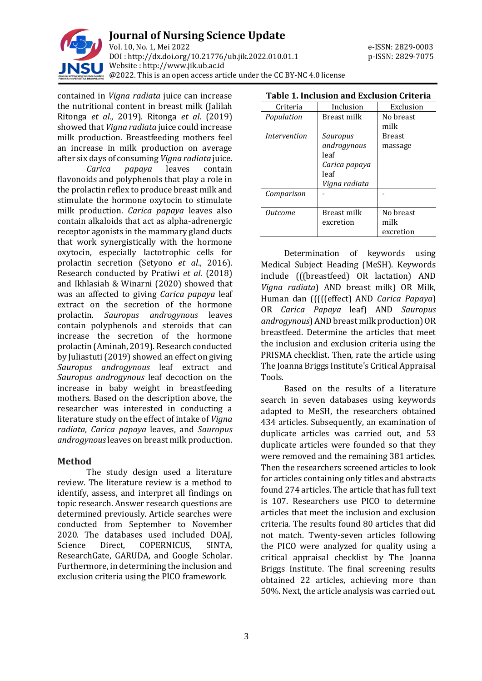

contained in *Vigna radiata* juice can increase the nutritional content in breast milk (Jalilah Ritonga *et al*., 2019). Ritonga *et al*. (2019) showed that *Vigna radiata* juice could increase milk production. Breastfeeding mothers feel an increase in milk production on average after six days of consuming *Vigna radiata* juice.

*Carica papaya* leaves contain flavonoids and polyphenols that play a role in the prolactin reflex to produce breast milk and stimulate the hormone oxytocin to stimulate milk production. *Carica papaya* leaves also contain alkaloids that act as alpha-adrenergic receptor agonists in the mammary gland ducts that work synergistically with the hormone oxytocin, especially lactotrophic cells for prolactin secretion (Setyono *et al*., 2016). Research conducted by Pratiwi *et al.* (2018) and Ikhlasiah & Winarni (2020) showed that was an affected to giving *Carica papaya* leaf extract on the secretion of the hormone prolactin. *Sauropus androgynous* leaves contain polyphenols and steroids that can increase the secretion of the hormone prolactin (Aminah, 2019). Research conducted by Juliastuti (2019) showed an effect on giving *Sauropus androgynous* leaf extract and *Sauropus androgynous* leaf decoction on the increase in baby weight in breastfeeding mothers. Based on the description above, the researcher was interested in conducting a literature study on the effect of intake of *Vigna radiata*, *Carica papaya* leaves, and *Sauropus androgynous*leaves on breast milk production.

#### **Method**

The study design used a literature review. The literature review is a method to identify, assess, and interpret all findings on topic research. Answer research questions are determined previously. Article searches were conducted from September to November 2020. The databases used included DOAJ, Science Direct, COPERNICUS, SINTA, ResearchGate, GARUDA, and Google Scholar. Furthermore, in determining the inclusion and exclusion criteria using the PICO framework.

| ганіе т. піснямні<br>ANU EXUWSION VI ILEI IA |               |               |
|----------------------------------------------|---------------|---------------|
| Criteria                                     | Inclusion     | Exclusion     |
| Population                                   | Breast milk   | No breast     |
|                                              |               | milk          |
| <i>Intervention</i>                          | Sauropus      | <b>Breast</b> |
|                                              | androgynous   | massage       |
|                                              | leaf          |               |
|                                              | Carica papaya |               |
|                                              | leaf          |               |
|                                              | Vigna radiata |               |
| Comparison                                   |               |               |
|                                              |               |               |
| Outcome                                      | Breast milk   | No breast     |
|                                              | excretion     | milk          |
|                                              |               | excretion     |

Determination of keywords using Medical Subject Heading (MeSH). Keywords include (((breastfeed) OR lactation) AND *Vigna radiata*) AND breast milk) OR Milk, Human dan (((((effect) AND *Carica Papaya*) OR *Carica Papaya* leaf) AND *Sauropus androgynous*) AND breast milk production) OR breastfeed. Determine the articles that meet the inclusion and exclusion criteria using the PRISMA checklist. Then, rate the article using The Joanna Briggs Institute's Critical Appraisal Tools.

Based on the results of a literature search in seven databases using keywords adapted to MeSH, the researchers obtained 434 articles. Subsequently, an examination of duplicate articles was carried out, and 53 duplicate articles were founded so that they were removed and the remaining 381 articles. Then the researchers screened articles to look for articles containing only titles and abstracts found 274 articles. The article that has full text is 107. Researchers use PICO to determine articles that meet the inclusion and exclusion criteria. The results found 80 articles that did not match. Twenty-seven articles following the PICO were analyzed for quality using a critical appraisal checklist by The Joanna Briggs Institute. The final screening results obtained 22 articles, achieving more than 50%. Next, the article analysis was carried out.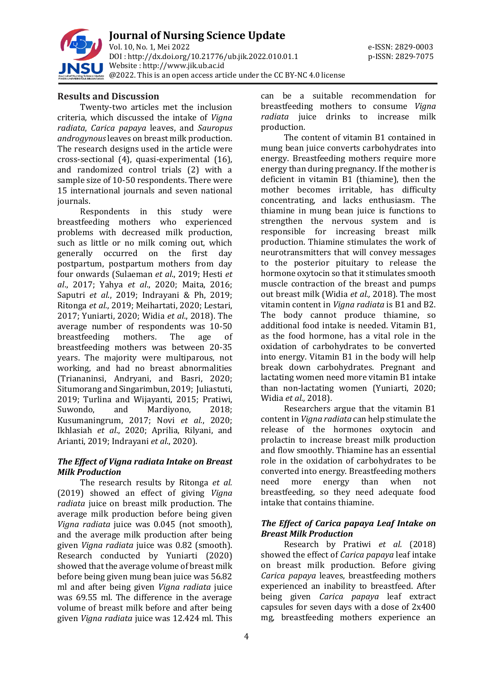

**Journal of Nursing Science Update** Vol. 10, No. 1, Mei 2022 e-ISSN: 2829-0003 DOI : [http://dx.doi.org/10.21776/ub.jik.2022.010.01.1](http://dx.doi.org/10.21776/ub.jik.2022.010.01) p-ISSN: 2829-7075 Website : http:/[/www.jik.ub.ac.id](http://www.jik.ub.ac.id/) @2022. This is an open access article under the CC BY-NC 4.0 license

#### **Results and Discussion**

Twenty-two articles met the inclusion criteria, which discussed the intake of *Vigna radiata*, *Carica papaya* leaves, and *Sauropus androgynous*leaves on breast milk production. The research designs used in the article were cross-sectional (4), quasi-experimental (16), and randomized control trials (2) with a sample size of 10-50 respondents. There were 15 international journals and seven national journals.

Respondents in this study were breastfeeding mothers who experienced problems with decreased milk production, such as little or no milk coming out, which generally occurred on the first day postpartum, postpartum mothers from day four onwards (Sulaeman *et al*., 2019; Hesti *et al*., 2017; Yahya *et al*., 2020; Maita, 2016; Saputri *et al*., 2019; Indrayani & Ph, 2019; Ritonga *et al.*, 2019; Meihartati, 2020; Lestari, 2017; Yuniarti, 2020; Widia *et al*., 2018). The average number of respondents was 10-50 breastfeeding mothers. The age of breastfeeding mothers was between 20-35 years. The majority were multiparous, not working, and had no breast abnormalities (Triananinsi, Andryani, and Basri, 2020; Situmorang and Singarimbun, 2019; Juliastuti, 2019; Turlina and Wijayanti, 2015; Pratiwi, Suwondo, and Mardiyono, 2018; Kusumaningrum, 2017; Novi *et al.*, 2020; Ikhlasiah *et al*., 2020; Aprilia, Rilyani, and Arianti, 2019; Indrayani *et al*., 2020).

#### *The Effect of Vigna radiata Intake on Breast Milk Production*

The research results by Ritonga *et al.* (2019) showed an effect of giving *Vigna radiata* juice on breast milk production. The average milk production before being given *Vigna radiata* juice was 0.045 (not smooth), and the average milk production after being given *Vigna radiata* juice was 0.82 (smooth). Research conducted by Yuniarti (2020) showed that the average volume of breast milk before being given mung bean juice was 56.82 ml and after being given *Vigna radiata* juice was 69.55 ml. The difference in the average volume of breast milk before and after being given *Vigna radiata* juice was 12.424 ml. This

can be a suitable recommendation for breastfeeding mothers to consume *Vigna radiata* juice drinks to increase milk production.

The content of vitamin B1 contained in mung bean juice converts carbohydrates into energy. Breastfeeding mothers require more energy than during pregnancy. If the mother is deficient in vitamin B1 (thiamine), then the mother becomes irritable, has difficulty concentrating, and lacks enthusiasm. The thiamine in mung bean juice is functions to strengthen the nervous system and is responsible for increasing breast milk production. Thiamine stimulates the work of neurotransmitters that will convey messages to the posterior pituitary to release the hormone oxytocin so that it stimulates smooth muscle contraction of the breast and pumps out breast milk (Widia *et al.,* 2018). The most vitamin content in *Vigna radiata* is B1 and B2. The body cannot produce thiamine, so additional food intake is needed. Vitamin B1, as the food hormone, has a vital role in the oxidation of carbohydrates to be converted into energy. Vitamin B1 in the body will help break down carbohydrates. Pregnant and lactating women need more vitamin B1 intake than non-lactating women (Yuniarti, 2020; Widia *et al.,* 2018).

Researchers argue that the vitamin B1 content in *Vigna radiata* can help stimulate the release of the hormones oxytocin and prolactin to increase breast milk production and flow smoothly. Thiamine has an essential role in the oxidation of carbohydrates to be converted into energy. Breastfeeding mothers need more energy than when not breastfeeding, so they need adequate food intake that contains thiamine.

#### *The Effect of Carica papaya Leaf Intake on Breast Milk Production*

Research by Pratiwi *et al.* (2018) showed the effect of *Carica papaya* leaf intake on breast milk production. Before giving *Carica papaya* leaves, breastfeeding mothers experienced an inability to breastfeed. After being given *Carica papaya* leaf extract capsules for seven days with a dose of 2x400 mg, breastfeeding mothers experience an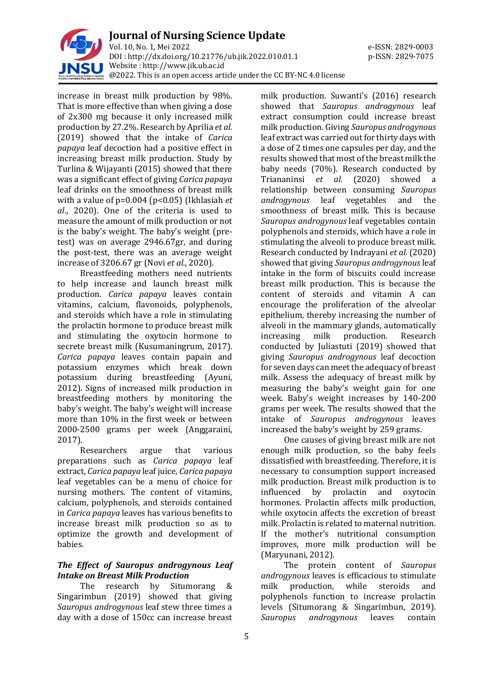

increase in breast milk production by 98%. That is more effective than when giving a dose of 2x300 mg because it only increased milk production by 27.2%. Research by Aprilia *et al.* (2019) showed that the intake of *Carica papaya* leaf decoction had a positive effect in increasing breast milk production. Study by Turlina & Wijayanti (2015) showed that there was a significant effect of giving *Carica papaya* leaf drinks on the smoothness of breast milk with a value of p=0.004 (p<0.05) (Ikhlasiah *et al*., 2020). One of the criteria is used to measure the amount of milk production or not is the baby's weight. The baby's weight (pretest) was on average 2946.67gr, and during the post-test, there was an average weight increase of 3206.67 gr (Novi *et al.,* 2020).

Breastfeeding mothers need nutrients to help increase and launch breast milk production. *Carica papaya* leaves contain vitamins, calcium, flavonoids, polyphenols, and steroids which have a role in stimulating the prolactin hormone to produce breast milk and stimulating the oxytocin hormone to secrete breast milk (Kusumaningrum, 2017). *Carica papaya* leaves contain papain and potassium enzymes which break down potassium during breastfeeding (Ayuni, 2012). Signs of increased milk production in breastfeeding mothers by monitoring the baby's weight. The baby's weight will increase more than 10% in the first week or between 2000-2500 grams per week (Anggaraini, 2017).

Researchers argue that various preparations such as *Carica papaya* leaf extract, *Carica papaya* leaf juice, *Carica papaya* leaf vegetables can be a menu of choice for nursing mothers. The content of vitamins, calcium, polyphenols, and steroids contained in *Carica papaya* leaves has various benefits to increase breast milk production so as to optimize the growth and development of babies.

#### *The Effect of Sauropus androgynous Leaf Intake on Breast Milk Production*

The research by Situmorang & Singarimbun (2019) showed that giving *Sauropus androgynous* leaf stew three times a day with a dose of 150cc can increase breast

milk production. Suwanti's (2016) research showed that *Sauropus androgynous* leaf extract consumption could increase breast milk production. Giving *Sauropus androgynous* leaf extract was carried out for thirty days with a dose of 2 times one capsules per day, and the results showed that most of the breast milk the baby needs (70%). Research conducted by Triananinsi *et al.* (2020) showed a relationship between consuming *Sauropus androgynous* leaf vegetables and the smoothness of breast milk. This is because *Sauropus androgynous* leaf vegetables contain polyphenols and steroids, which have a role in stimulating the alveoli to produce breast milk. Research conducted by Indrayani *et al.* (2020) showed that giving *Sauropus androgynous* leaf intake in the form of biscuits could increase breast milk production. This is because the content of steroids and vitamin A can encourage the proliferation of the alveolar epithelium, thereby increasing the number of alveoli in the mammary glands, automatically increasing milk production. Research conducted by Juliastuti (2019) showed that giving *Sauropus androgynous* leaf decoction for seven days can meet the adequacy of breast milk. Assess the adequacy of breast milk by measuring the baby's weight gain for one week. Baby's weight increases by 140-200 grams per week. The results showed that the intake of *Sauropus androgynous* leaves increased the baby's weight by 259 grams.

One causes of giving breast milk are not enough milk production, so the baby feels dissatisfied with breastfeeding. Therefore, it is necessary to consumption support increased milk production. Breast milk production is to influenced by prolactin and oxytocin hormones. Prolactin affects milk production, while oxytocin affects the excretion of breast milk. Prolactin is related to maternal nutrition. If the mother's nutritional consumption improves, more milk production will be (Maryunani, 2012).

The protein content of *Sauropus androgynous* leaves is efficacious to stimulate milk production, while steroids and polyphenols function to increase prolactin levels (Situmorang & Singarimbun, 2019). *Sauropus androgynous* leaves contain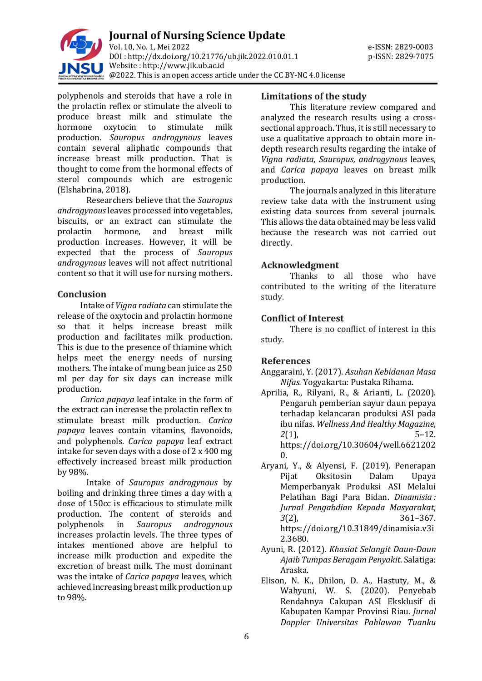

polyphenols and steroids that have a role in the prolactin reflex or stimulate the alveoli to produce breast milk and stimulate the hormone oxytocin to stimulate milk production. *Sauropus androgynous* leaves contain several aliphatic compounds that increase breast milk production. That is thought to come from the hormonal effects of sterol compounds which are estrogenic (Elshabrina, 2018).

Researchers believe that the *Sauropus androgynous*leaves processed into vegetables, biscuits, or an extract can stimulate the prolactin hormone, and breast milk production increases. However, it will be expected that the process of *Sauropus androgynous* leaves will not affect nutritional content so that it will use for nursing mothers.

#### **Conclusion**

Intake of *Vigna radiata* can stimulate the release of the oxytocin and prolactin hormone so that it helps increase breast milk production and facilitates milk production. This is due to the presence of thiamine which helps meet the energy needs of nursing mothers. The intake of mung bean juice as 250 ml per day for six days can increase milk production.

*Carica papaya* leaf intake in the form of the extract can increase the prolactin reflex to stimulate breast milk production. *Carica papaya* leaves contain vitamins, flavonoids, and polyphenols. *Carica papaya* leaf extract intake for seven days with a dose of 2 x 400 mg effectively increased breast milk production by 98%.

Intake of *Sauropus androgynous* by boiling and drinking three times a day with a dose of 150cc is efficacious to stimulate milk production. The content of steroids and polyphenols in *Sauropus androgynous* increases prolactin levels. The three types of intakes mentioned above are helpful to increase milk production and expedite the excretion of breast milk. The most dominant was the intake of *Carica papaya* leaves, which achieved increasing breast milk production up to 98%.

#### **Limitations of the study**

This literature review compared and analyzed the research results using a crosssectional approach. Thus, it is still necessary to use a qualitative approach to obtain more indepth research results regarding the intake of *Vigna radiata*, *Sauropus, androgynous* leaves, and *Carica papaya* leaves on breast milk production.

The journals analyzed in this literature review take data with the instrument using existing data sources from several journals. This allows the data obtained may be less valid because the research was not carried out directly.

#### **Acknowledgment**

Thanks to all those who have contributed to the writing of the literature study.

### **Conflict of Interest**

There is no conflict of interest in this study.

#### **References**

Anggaraini, Y. (2017). *Asuhan Kebidanan Masa Nifas.* Yogyakarta: Pustaka Rihama.

- Aprilia, R., Rilyani, R., & Arianti, L. (2020). Pengaruh pemberian sayur daun pepaya terhadap kelancaran produksi ASI pada ibu nifas. *Wellness And Healthy Magazine*, *2*(1), 5–12. [https://doi.org/10.30604/well.6621202](https://doi.org/10.30604/well.66212020) [0.](https://doi.org/10.30604/well.66212020)
- Aryani, Y., & Alyensi, F. (2019). Penerapan Pijat Oksitosin Dalam Upaya Memperbanyak Produksi ASI Melalui Pelatihan Bagi Para Bidan. *Dinamisia : Jurnal Pengabdian Kepada Masyarakat*, *3*(2), 361–367. [https://doi.org/10.31849/dinamisia.v3i](https://doi.org/10.31849/dinamisia.v3i2.3680) [2.3680.](https://doi.org/10.31849/dinamisia.v3i2.3680)
- Ayuni, R. (2012). *Khasiat Selangit Daun-Daun Ajaib Tumpas Beragam Penyakit*. Salatiga: Araska.
- Elison, N. K., Dhilon, D. A., Hastuty, M., & Wahyuni, W. S. (2020). Penyebab Rendahnya Cakupan ASI Eksklusif di Kabupaten Kampar Provinsi Riau. *Jurnal Doppler Universitas Pahlawan Tuanku*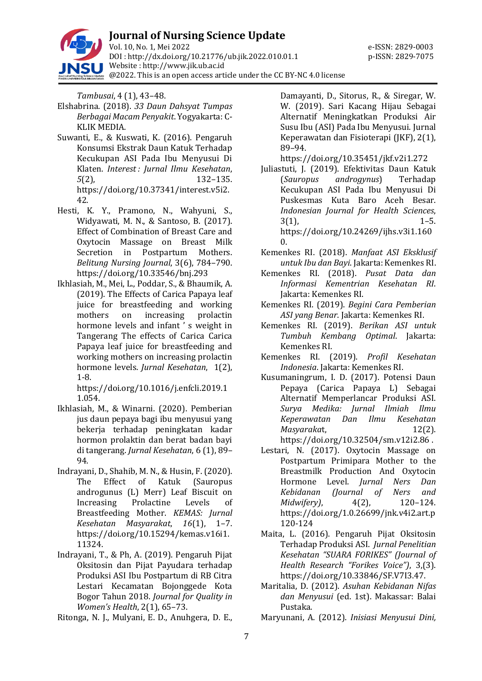

# **Journal of Nursing Science Update**

Vol. 10, No. 1, Mei 2022 e-ISSN: 2829-0003 DOI : [http://dx.doi.org/10.21776/ub.jik.2022.010.01.1](http://dx.doi.org/10.21776/ub.jik.2022.010.01) p-ISSN: 2829-7075 Website : http:/[/www.jik.ub.ac.id](http://www.jik.ub.ac.id/) @2022. This is an open access article under the CC BY-NC 4.0 license

*Tambusai*, 4 (1), 43–48.

- Elshabrina. (2018). *33 Daun Dahsyat Tumpas Berbagai Macam Penyakit*. Yogyakarta: C-KLIK MEDIA.
- Suwanti, E., & Kuswati, K. (2016). Pengaruh Konsumsi Ekstrak Daun Katuk Terhadap Kecukupan ASI Pada Ibu Menyusui Di Klaten. *Interest : Jurnal Ilmu Kesehatan*, *5*(2), 132–135. [https://doi.org/10.37341/interest.v5i2.](https://doi.org/10.37341/interest.v5i2.42) [42.](https://doi.org/10.37341/interest.v5i2.42)
- Hesti, K. Y., Pramono, N., Wahyuni, S., Widyawati, M. N., & Santoso, B. (2017). Effect of Combination of Breast Care and Oxytocin Massage on Breast Milk Secretion in Postpartum Mothers. *Belitung Nursing Journal*, 3(6), 784–790. https://doi.org/10.33546/bnj.293
- Ikhlasiah, M., Mei, L., Poddar, S., & Bhaumik, A. (2019). The Effects of Carica Papaya leaf juice for breastfeeding and working mothers on increasing prolactin hormone levels and infant ' s weight in Tangerang The effects of Carica Carica Papaya leaf juice for breastfeeding and working mothers on increasing prolactin hormone levels. *Jurnal Kesehatan*, 1(2), 1-8.

https://doi.org/10.1016/j.enfcli.2019.1 1.054.

- Ikhlasiah, M., & Winarni. (2020). Pemberian jus daun pepaya bagi ibu menyusui yang bekerja terhadap peningkatan kadar hormon prolaktin dan berat badan bayi di tangerang. *Jurnal Kesehatan*, 6 (1), 89– 94.
- Indrayani, D., Shahib, M. N., & Husin, F. (2020). The Effect of Katuk (Sauropus androgunus (L) Merr) Leaf Biscuit on Increasing Prolactine Levels of Breastfeeding Mother. *KEMAS: Jurnal Kesehatan Masyarakat*, *16*(1), 1–7. [https://doi.org/10.15294/kemas.v16i1.](https://doi.org/10.15294/kemas.v16i1.11324) [11324.](https://doi.org/10.15294/kemas.v16i1.11324)
- Indrayani, T., & Ph, A. (2019). Pengaruh Pijat Oksitosin dan Pijat Payudara terhadap Produksi ASI Ibu Postpartum di RB Citra Lestari Kecamatan Bojonggede Kota Bogor Tahun 2018. *Journal for Quality in Women's Health*, 2(1), 65–73.

Ritonga, N. J., Mulyani, E. D., Anuhgera, D. E.,

Damayanti, D., Sitorus, R., & Siregar, W. W. (2019). Sari Kacang Hijau Sebagai Alternatif Meningkatkan Produksi Air Susu Ibu (ASI) Pada Ibu Menyusui. Jurnal Keperawatan dan Fisioterapi (JKF), 2(1), 89–94.

https://doi.org/10.35451/jkf.v2i1.272

- Juliastuti, J. (2019). Efektivitas Daun Katuk (*Sauropus androgynus*) Terhadap Kecukupan ASI Pada Ibu Menyusui Di Puskesmas Kuta Baro Aceh Besar. *Indonesian Journal for Health Sciences*,  $3(1)$ , 1–5. https://doi.org/10.24269/ijhs.v3i1.160 0.
- Kemenkes RI. (2018). *Manfaat ASI Eksklusif untuk Ibu dan Bayi*. Jakarta: Kemenkes RI.
- Kemenkes RI. (2018). *Pusat Data dan Informasi Kementrian Kesehatan RI*. Jakarta: Kemenkes RI.
- Kemenkes RI. (2019). *Begini Cara Pemberian ASI yang Benar*. Jakarta: Kemenkes RI.
- Kemenkes RI. (2019). *Berikan ASI untuk Tumbuh Kembang Optimal*. Jakarta: Kemenkes RI.
- Kemenkes RI. (2019). *Profil Kesehatan Indonesia*. Jakarta: Kemenkes RI.
- Kusumaningrum, I. D. (2017). Potensi Daun Pepaya (Carica Papaya L) Sebagai Alternatif Memperlancar Produksi ASI. *Surya Medika: Jurnal Ilmiah Ilmu Keperawatan Dan Ilmu Kesehatan Masyaraka*t, 12(2).
- https://doi.org/10.32504/sm.v12i2.86 .
- Lestari, N. (2017). Oxytocin Massage on Postpartum Primipara Mother to the Breastmilk Production And Oxytocin Hormone Level. *Jurnal Ners Dan Kebidanan (Journal of Ners and Midwifery)*, 4(2), 120–124. https://doi.org/1.0.26699/jnk.v4i2.art.p 120-124
- Maita, L. (2016). Pengaruh Pijat Oksitosin Terhadap Produksi ASI. *Jurnal Penelitian Kesehatan "SUARA FORIKES" (Journal of Health Research "Forikes Voice")*, 3,(3). https://doi.org/10.33846/SF.V7I3.47.
- Maritalia, D. (2012). *Asuhan Kebidanan Nifas dan Menyusui* (ed. 1st). Makassar: Balai Pustaka.

Maryunani, A. (2012). *Inisiasi Menyusui Dini,*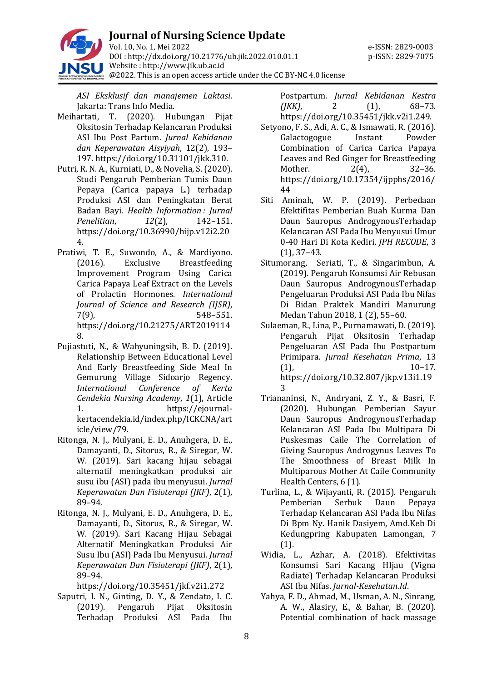

*ASI Eksklusif dan manajemen Laktasi*. Jakarta: Trans Info Media.

- Meihartati, T. (2020). Hubungan Pijat Oksitosin Terhadap Kelancaran Produksi ASI Ibu Post Partum. *Jurnal Kebidanan dan Keperawatan Aisyiyah*, 12(2), 193– 197. https://doi.org/10.31101/jkk.310.
- Putri, R. N. A., Kurniati, D., & Novelia, S. (2020). Studi Pengaruh Pemberian Tumis Daun Pepaya (Carica papaya L.) terhadap Produksi ASI dan Peningkatan Berat Badan Bayi. *Health Information : Jurnal Penelitian*, *12*(2), 142–151. [https://doi.org/10.36990/hijp.v12i2.20](https://doi.org/10.36990/hijp.v12i2.204) [4.](https://doi.org/10.36990/hijp.v12i2.204)
- Pratiwi, T. E., Suwondo, A., & Mardiyono. (2016). Exclusive Breastfeeding Improvement Program Using Carica Carica Papaya Leaf Extract on the Levels of Prolactin Hormones. *International Journal of Science and Research (IJSR)*, 7(9), 548–551. https://doi.org/10.21275/ART2019114 8.
- Pujiastuti, N., & Wahyuningsih, B. D. (2019). Relationship Between Educational Level And Early Breastfeeding Side Meal In Gemurung Village Sidoarjo Regency. *International Conference of Kerta Cendekia Nursing Academy*, *1*(1), Article 1. [https://ejournal](https://ejournal-kertacendekia.id/index.php/ICKCNA/article/view/79)[kertacendekia.id/index.php/ICKCNA/art](https://ejournal-kertacendekia.id/index.php/ICKCNA/article/view/79) [icle/view/79.](https://ejournal-kertacendekia.id/index.php/ICKCNA/article/view/79)
- Ritonga, N. J., Mulyani, E. D., Anuhgera, D. E., Damayanti, D., Sitorus, R., & Siregar, W. W. (2019). Sari kacang hijau sebagai alternatif meningkatkan produksi air susu ibu (ASI) pada ibu menyusui. *Jurnal Keperawatan Dan Fisioterapi (JKF)*, 2(1), 89–94.
- Ritonga, N. J., Mulyani, E. D., Anuhgera, D. E., Damayanti, D., Sitorus, R., & Siregar, W. W. (2019). Sari Kacang Hijau Sebagai Alternatif Meningkatkan Produksi Air Susu Ibu (ASI) Pada Ibu Menyusui. *Jurnal Keperawatan Dan Fisioterapi (JKF)*, 2(1), 89–94.

https://doi.org/10.35451/jkf.v2i1.272

Saputri, I. N., Ginting, D. Y., & Zendato, I. C. (2019). Pengaruh Pijat Oksitosin Terhadap Produksi ASI Pada Ibu

Postpartum. *Jurnal Kebidanan Kestra (JKK)*, 2 (1), 68–73. https://doi.org/10.35451/jkk.v2i1.249.

- Setyono, F. S., Adi, A. C., & Ismawati, R. (2016). Galactogogue Instant Powder Combination of Carica Carica Papaya Leaves and Red Ginger for Breastfeeding Mother. 2(4), 32–36. https://doi.org/10.17354/ijpphs/2016/ 44
- Siti Aminah, W. P. (2019). Perbedaan Efektifitas Pemberian Buah Kurma Dan Daun Sauropus AndrogynousTerhadap Kelancaran ASI Pada Ibu Menyusui Umur 0-40 Hari Di Kota Kediri. *JPH RECODE*, 3 (1), 37–43.
- Situmorang, Seriati, T., & Singarimbun, A. (2019). Pengaruh Konsumsi Air Rebusan Daun Sauropus AndrogynousTerhadap Pengeluaran Produksi ASI Pada Ibu Nifas Di Bidan Praktek Mandiri Manurung Medan Tahun 2018, 1 (2), 55–60.
- Sulaeman, R., Lina, P., Purnamawati, D. (2019). Pengaruh Pijat Oksitosin Terhadap Pengeluaran ASI Pada Ibu Postpartum Primipara. *Jurnal Kesehatan Prima*, 13  $(1), \t10-17.$ https://doi.org/10.32.807/jkp.v13i1.19 3
- Triananinsi, N., Andryani, Z. Y., & Basri, F. (2020). Hubungan Pemberian Sayur Daun Sauropus AndrogynousTerhadap Kelancaran ASI Pada Ibu Multipara Di Puskesmas Caile The Correlation of Giving Sauropus Androgynus Leaves To The Smoothness of Breast Milk In Multiparous Mother At Caile Community Health Centers, 6 (1).
- Turlina, L., & Wijayanti, R. (2015). Pengaruh Pemberian Serbuk Daun Pepaya Terhadap Kelancaran ASI Pada Ibu Nifas Di Bpm Ny. Hanik Dasiyem, Amd.Keb Di Kedungpring Kabupaten Lamongan, 7 (1).
- Widia, L., Azhar, A. (2018). Efektivitas Konsumsi Sari Kacang HIjau (Vigna Radiate) Terhadap Kelancaran Produksi ASI Ibu Nifas. *Jurnal-Kesehatan.Id*.
- Yahya, F. D., Ahmad, M., Usman, A. N., Sinrang, A. W., Alasiry, E., & Bahar, B. (2020). Potential combination of back massage